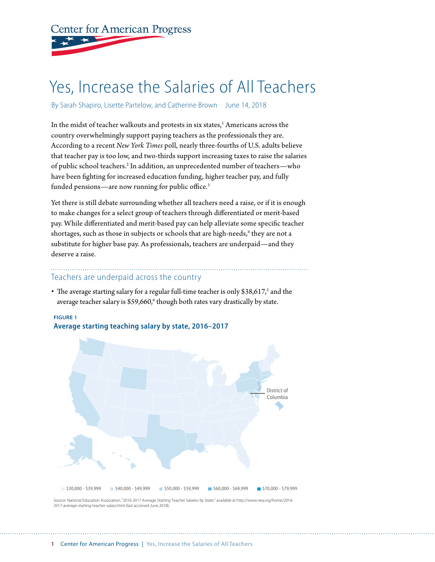# **Center for American Progress**

# Yes, Increase the Salaries of All Teachers

By Sarah Shapiro, Lisette Partelow, and Catherine Brown June 14, 2018

In the midst of teacher walkouts and protests in six states,<sup>1</sup> Americans across the country overwhelmingly support paying teachers as the professionals they are. According to a recent *New York Times* poll, nearly three-fourths of U.S. adults believe that teacher pay is too low, and two-thirds support increasing taxes to raise the salaries of public school teachers.2 In addition, an unprecedented number of teachers—who have been fighting for increased education funding, higher teacher pay, and fully funded pensions-are now running for public office.<sup>3</sup>

Yet there is still debate surrounding whether all teachers need a raise, or if it is enough to make changes for a select group of teachers through differentiated or merit-based pay. While differentiated and merit-based pay can help alleviate some specific teacher shortages, such as those in subjects or schools that are high-needs,<sup>4</sup> they are not a substitute for higher base pay. As professionals, teachers are underpaid—and they deserve a raise.

## Teachers are underpaid across the country

• The average starting salary for a regular full-time teacher is only \$38,617, $^5$  and the average teacher salary is  $$59,660,^6$  though both rates vary drastically by state.



### **FIGURE 1 Average starting teaching salary by state, 2016–2017**

Source: National Education Association, "2016-2017 Average Starting Teacher Salaries by State," available at http://www.nea.org/home/2016- 2017-average-starting-teacher-salary.html (last accessed June 2018).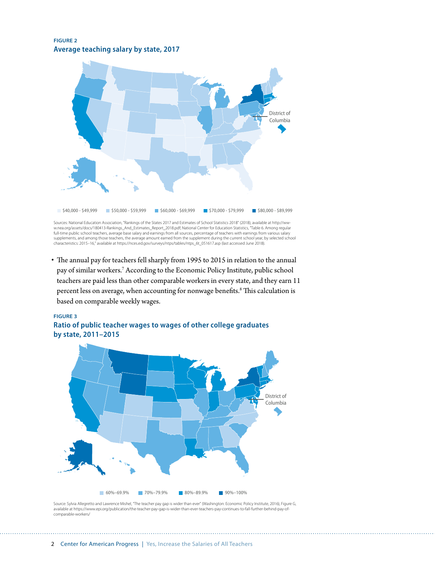#### **FIGURE 2 Average teaching salary by state, 2017**



Sources: National Education Association, "Rankings of the States 2017 and Estimates of School Statistics 2018" (2018), available at http://www.nea.org/assets/docs/180413-Rankings\_And\_Estimates\_Report\_2018.pdf; National Center for Education Statistics, "Table 6. Among regular full-time public school teachers, average base salary and earnings from all sources, percentage of teachers with earnings from various salary<br>supplements, and among those teachers, the average amount earned from the supple characteristics: 2015–16," available at https://nces.ed.gov/surveys/ntps/tables/ntps\_6t\_051617.asp (last accessed June 2018).

• The annual pay for teachers fell sharply from 1995 to 2015 in relation to the annual pay of similar workers.<sup>7</sup> According to the Economic Policy Institute, public school teachers are paid less than other comparable workers in every state, and they earn 11 percent less on average, when accounting for nonwage benefits.<sup>8</sup> This calculation is based on comparable weekly wages.

#### **FIGURE 3**





Source: Sylvia Allegretto and Lawrence Mishel, "The teacher pay gap is wider than ever" (Washington: Economic Policy Institute, 2016), Figure G, available at https://www.epi.org/publication/the-teacher-pay-gap-is-wider-than-ever-teachers-pay-continues-to-fall-further-behind-pay-ofcomparable-workers/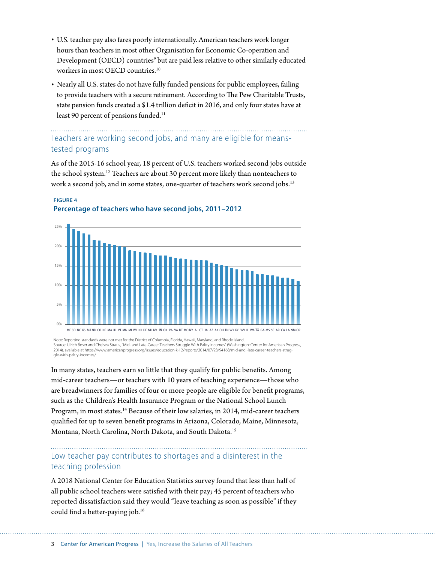- U.S. teacher pay also fares poorly internationally. American teachers work longer hours than teachers in most other Organisation for Economic Co-operation and Development (OECD) countries<sup>9</sup> but are paid less relative to other similarly educated workers in most OECD countries.10
- Nearly all U.S. states do not have fully funded pensions for public employees, failing to provide teachers with a secure retirement. According to The Pew Charitable Trusts, state pension funds created a \$1.4 trillion deficit in 2016, and only four states have at least 90 percent of pensions funded.<sup>11</sup>

Teachers are working second jobs, and many are eligible for meanstested programs

As of the 2015-16 school year, 18 percent of U.S. teachers worked second jobs outside the school system.12 Teachers are about 30 percent more likely than nonteachers to work a second job, and in some states, one-quarter of teachers work second jobs.<sup>13</sup>

#### **FIGURE 4 Percentage of teachers who have second jobs, 2011–2012**



Note: Reporting standards were not met for the District of Columbia, Florida, Hawaii, Maryland, and Rhode Island. Source: Ulrich Boser and Chelsea Straus, "Mid- and Late-Career Teachers Struggle With Paltry Incomes" (Washington: Center for American Progress, 2014), available at https://www.americanprogress.org/issues/education-k-12/reports/2014/07/23/94168/mid-and -late-career-teachers-struggle-with-paltry-incomes/.

In many states, teachers earn so little that they qualify for public benefits. Among mid-career teachers—or teachers with 10 years of teaching experience—those who are breadwinners for families of four or more people are eligible for benefit programs, such as the Children's Health Insurance Program or the National School Lunch Program, in most states.14 Because of their low salaries, in 2014, mid-career teachers qualified for up to seven benefit programs in Arizona, Colorado, Maine, Minnesota, Montana, North Carolina, North Dakota, and South Dakota.15

# Low teacher pay contributes to shortages and a disinterest in the teaching profession

A 2018 National Center for Education Statistics survey found that less than half of all public school teachers were satisfied with their pay; 45 percent of teachers who reported dissatisfaction said they would "leave teaching as soon as possible" if they could find a better-paying job.<sup>16</sup>

3 Center for American Progress | Yes, Increase the Salaries of All Teachers